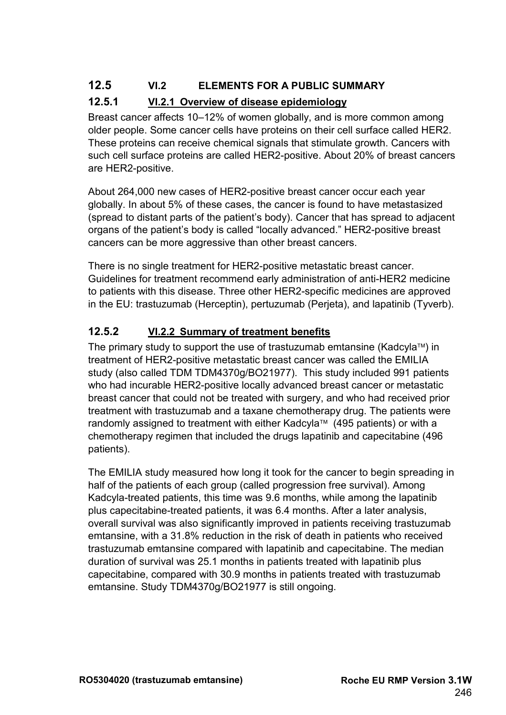## **12.5 VI.2 ELEMENTS FOR A PUBLIC SUMMARY**

### **12.5.1 VI.2.1 Overview of disease epidemiology**

Breast cancer affects 10–12% of women globally, and is more common among older people. Some cancer cells have proteins on their cell surface called HER2. These proteins can receive chemical signals that stimulate growth. Cancers with such cell surface proteins are called HER2-positive. About 20% of breast cancers are HER2-positive.

About 264,000 new cases of HER2-positive breast cancer occur each year globally. In about 5% of these cases, the cancer is found to have metastasized (spread to distant parts of the patient's body). Cancer that has spread to adjacent organs of the patient's body is called "locally advanced." HER2-positive breast cancers can be more aggressive than other breast cancers.

There is no single treatment for HER2-positive metastatic breast cancer. Guidelines for treatment recommend early administration of anti-HER2 medicine to patients with this disease. Three other HER2-specific medicines are approved in the EU: trastuzumab (Herceptin), pertuzumab (Perjeta), and lapatinib (Tyverb).

## **12.5.2 VI.2.2 Summary of treatment benefits**

The primary study to support the use of trastuzumab emtansine (Kadcyla™) in treatment of HER2-positive metastatic breast cancer was called the EMILIA study (also called TDM TDM4370g/BO21977). This study included 991 patients who had incurable HER2-positive locally advanced breast cancer or metastatic breast cancer that could not be treated with surgery, and who had received prior treatment with trastuzumab and a taxane chemotherapy drug. The patients were randomly assigned to treatment with either Kadcyla™ (495 patients) or with a chemotherapy regimen that included the drugs lapatinib and capecitabine (496 patients).

The EMILIA study measured how long it took for the cancer to begin spreading in half of the patients of each group (called progression free survival). Among Kadcyla-treated patients, this time was 9.6 months, while among the lapatinib plus capecitabine-treated patients, it was 6.4 months. After a later analysis, overall survival was also significantly improved in patients receiving trastuzumab emtansine, with a 31.8% reduction in the risk of death in patients who received trastuzumab emtansine compared with lapatinib and capecitabine. The median duration of survival was 25.1 months in patients treated with lapatinib plus capecitabine, compared with 30.9 months in patients treated with trastuzumab emtansine. Study TDM4370g/BO21977 is still ongoing.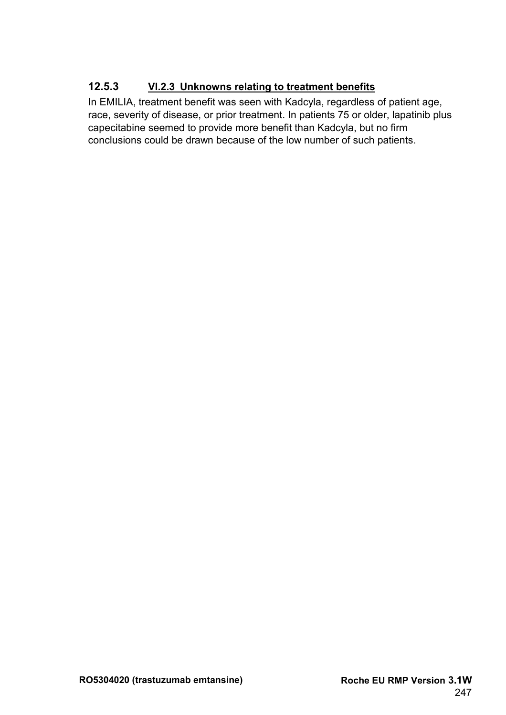### **12.5.3 VI.2.3 Unknowns relating to treatment benefits**

In EMILIA, treatment benefit was seen with Kadcyla, regardless of patient age, race, severity of disease, or prior treatment. In patients 75 or older, lapatinib plus capecitabine seemed to provide more benefit than Kadcyla, but no firm conclusions could be drawn because of the low number of such patients.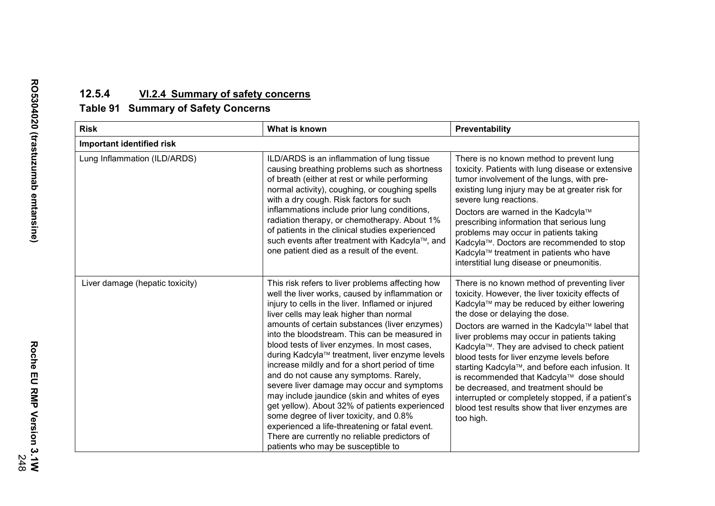# **12.5.4 VI.2.4 Summary of safety concerns**

## **Table 91 Summary of Safety Concerns**

| <b>Risk</b>                     | What is known                                                                                                                                                                                                                                                                                                                                                                                                                                                                                                                                                                                                                                                                                                                                                                                                                            | Preventability                                                                                                                                                                                                                                                                                                                                                                                                                                                                                                                                                                                                                            |  |  |  |
|---------------------------------|------------------------------------------------------------------------------------------------------------------------------------------------------------------------------------------------------------------------------------------------------------------------------------------------------------------------------------------------------------------------------------------------------------------------------------------------------------------------------------------------------------------------------------------------------------------------------------------------------------------------------------------------------------------------------------------------------------------------------------------------------------------------------------------------------------------------------------------|-------------------------------------------------------------------------------------------------------------------------------------------------------------------------------------------------------------------------------------------------------------------------------------------------------------------------------------------------------------------------------------------------------------------------------------------------------------------------------------------------------------------------------------------------------------------------------------------------------------------------------------------|--|--|--|
| Important identified risk       |                                                                                                                                                                                                                                                                                                                                                                                                                                                                                                                                                                                                                                                                                                                                                                                                                                          |                                                                                                                                                                                                                                                                                                                                                                                                                                                                                                                                                                                                                                           |  |  |  |
| Lung Inflammation (ILD/ARDS)    | ILD/ARDS is an inflammation of lung tissue<br>causing breathing problems such as shortness<br>of breath (either at rest or while performing<br>normal activity), coughing, or coughing spells<br>with a dry cough. Risk factors for such<br>inflammations include prior lung conditions,<br>radiation therapy, or chemotherapy. About 1%<br>of patients in the clinical studies experienced<br>such events after treatment with Kadcyla™, and<br>one patient died as a result of the event.                                                                                                                                                                                                                                                                                                                                              | There is no known method to prevent lung<br>toxicity. Patients with lung disease or extensive<br>tumor involvement of the lungs, with pre-<br>existing lung injury may be at greater risk for<br>severe lung reactions.<br>Doctors are warned in the Kadcyla™<br>prescribing information that serious lung<br>problems may occur in patients taking<br>Kadcyla™. Doctors are recommended to stop<br>Kadcyla™ treatment in patients who have<br>interstitial lung disease or pneumonitis.                                                                                                                                                  |  |  |  |
| Liver damage (hepatic toxicity) | This risk refers to liver problems affecting how<br>well the liver works, caused by inflammation or<br>injury to cells in the liver. Inflamed or injured<br>liver cells may leak higher than normal<br>amounts of certain substances (liver enzymes)<br>into the bloodstream. This can be measured in<br>blood tests of liver enzymes. In most cases,<br>during Kadcyla™ treatment, liver enzyme levels<br>increase mildly and for a short period of time<br>and do not cause any symptoms. Rarely,<br>severe liver damage may occur and symptoms<br>may include jaundice (skin and whites of eyes<br>get yellow). About 32% of patients experienced<br>some degree of liver toxicity, and 0.8%<br>experienced a life-threatening or fatal event.<br>There are currently no reliable predictors of<br>patients who may be susceptible to | There is no known method of preventing liver<br>toxicity. However, the liver toxicity effects of<br>Kadcyla™ may be reduced by either lowering<br>the dose or delaying the dose.<br>Doctors are warned in the Kadcyla™ label that<br>liver problems may occur in patients taking<br>Kadcyla™. They are advised to check patient<br>blood tests for liver enzyme levels before<br>starting Kadcyla™, and before each infusion. It<br>is recommended that Kadcyla™ dose should<br>be decreased, and treatment should be<br>interrupted or completely stopped, if a patient's<br>blood test results show that liver enzymes are<br>too high. |  |  |  |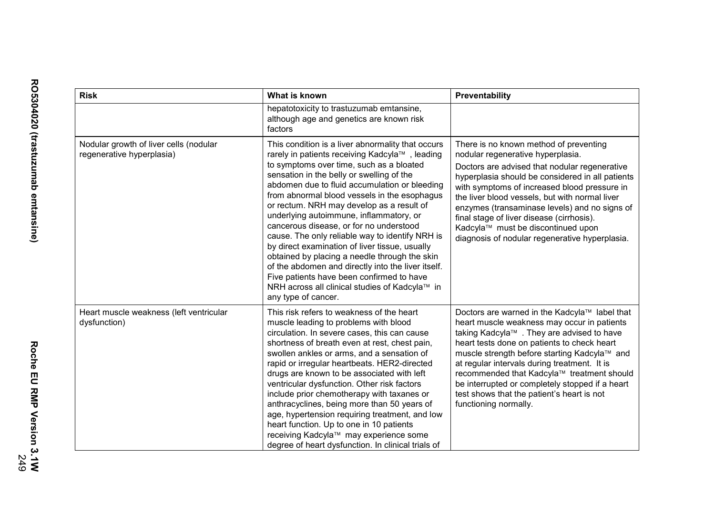| <b>Risk</b>                                                                                                                                                                                                                                                                                                                                                                                                                                                                                                                                                                                                                                                                                                                                                                                                                               | What is known                                                                                                                                                                                                                                                                                                                                                                                                                                                                                                                                                                                                                                                             | Preventability                                                                                                                                                                                                                                                                                                                                                                                                                                                           |
|-------------------------------------------------------------------------------------------------------------------------------------------------------------------------------------------------------------------------------------------------------------------------------------------------------------------------------------------------------------------------------------------------------------------------------------------------------------------------------------------------------------------------------------------------------------------------------------------------------------------------------------------------------------------------------------------------------------------------------------------------------------------------------------------------------------------------------------------|---------------------------------------------------------------------------------------------------------------------------------------------------------------------------------------------------------------------------------------------------------------------------------------------------------------------------------------------------------------------------------------------------------------------------------------------------------------------------------------------------------------------------------------------------------------------------------------------------------------------------------------------------------------------------|--------------------------------------------------------------------------------------------------------------------------------------------------------------------------------------------------------------------------------------------------------------------------------------------------------------------------------------------------------------------------------------------------------------------------------------------------------------------------|
|                                                                                                                                                                                                                                                                                                                                                                                                                                                                                                                                                                                                                                                                                                                                                                                                                                           | hepatotoxicity to trastuzumab emtansine,<br>although age and genetics are known risk<br>factors                                                                                                                                                                                                                                                                                                                                                                                                                                                                                                                                                                           |                                                                                                                                                                                                                                                                                                                                                                                                                                                                          |
| Nodular growth of liver cells (nodular<br>This condition is a liver abnormality that occurs<br>regenerative hyperplasia)<br>rarely in patients receiving Kadcyla™, leading<br>to symptoms over time, such as a bloated<br>sensation in the belly or swelling of the<br>abdomen due to fluid accumulation or bleeding<br>from abnormal blood vessels in the esophagus<br>or rectum. NRH may develop as a result of<br>underlying autoimmune, inflammatory, or<br>cancerous disease, or for no understood<br>cause. The only reliable way to identify NRH is<br>by direct examination of liver tissue, usually<br>obtained by placing a needle through the skin<br>of the abdomen and directly into the liver itself.<br>Five patients have been confirmed to have<br>NRH across all clinical studies of Kadcyla™ in<br>any type of cancer. |                                                                                                                                                                                                                                                                                                                                                                                                                                                                                                                                                                                                                                                                           | There is no known method of preventing<br>nodular regenerative hyperplasia.<br>Doctors are advised that nodular regenerative<br>hyperplasia should be considered in all patients<br>with symptoms of increased blood pressure in<br>the liver blood vessels, but with normal liver<br>enzymes (transaminase levels) and no signs of<br>final stage of liver disease (cirrhosis).<br>Kadcyla™ must be discontinued upon<br>diagnosis of nodular regenerative hyperplasia. |
| Heart muscle weakness (left ventricular<br>dysfunction)                                                                                                                                                                                                                                                                                                                                                                                                                                                                                                                                                                                                                                                                                                                                                                                   | This risk refers to weakness of the heart<br>muscle leading to problems with blood<br>circulation. In severe cases, this can cause<br>shortness of breath even at rest, chest pain,<br>swollen ankles or arms, and a sensation of<br>rapid or irregular heartbeats. HER2-directed<br>drugs are known to be associated with left<br>ventricular dysfunction. Other risk factors<br>include prior chemotherapy with taxanes or<br>anthracyclines, being more than 50 years of<br>age, hypertension requiring treatment, and low<br>heart function. Up to one in 10 patients<br>receiving Kadcyla™ may experience some<br>degree of heart dysfunction. In clinical trials of | Doctors are warned in the Kadcyla™ label that<br>heart muscle weakness may occur in patients<br>taking Kadcyla™ . They are advised to have<br>heart tests done on patients to check heart<br>muscle strength before starting Kadcyla™ and<br>at regular intervals during treatment. It is<br>recommended that Kadcyla™ treatment should<br>be interrupted or completely stopped if a heart<br>test shows that the patient's heart is not<br>functioning normally.        |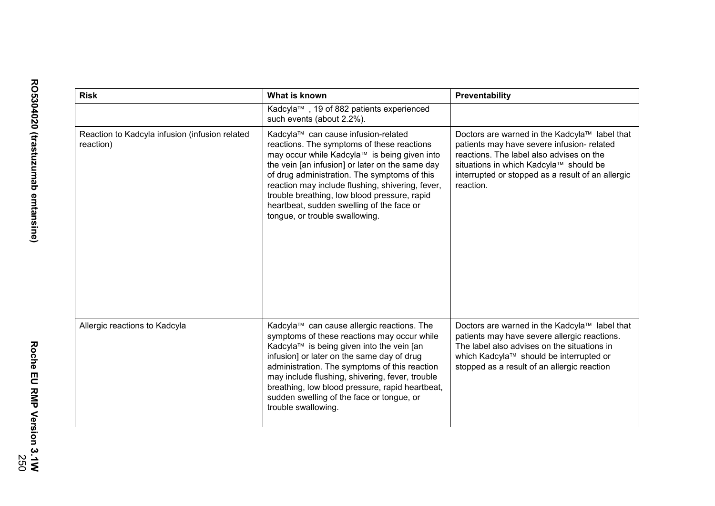| <b>Risk</b>                                                 | What is known                                                                                                                                                                                                                                                                                                                                                                                                           | Preventability                                                                                                                                                                                                                                      |  |
|-------------------------------------------------------------|-------------------------------------------------------------------------------------------------------------------------------------------------------------------------------------------------------------------------------------------------------------------------------------------------------------------------------------------------------------------------------------------------------------------------|-----------------------------------------------------------------------------------------------------------------------------------------------------------------------------------------------------------------------------------------------------|--|
|                                                             | Kadcyla™, 19 of 882 patients experienced<br>such events (about 2.2%).                                                                                                                                                                                                                                                                                                                                                   |                                                                                                                                                                                                                                                     |  |
| Reaction to Kadcyla infusion (infusion related<br>reaction) | Kadcyla™ can cause infusion-related<br>reactions. The symptoms of these reactions<br>may occur while Kadcyla™ is being given into<br>the vein [an infusion] or later on the same day<br>of drug administration. The symptoms of this<br>reaction may include flushing, shivering, fever,<br>trouble breathing, low blood pressure, rapid<br>heartbeat, sudden swelling of the face or<br>tongue, or trouble swallowing. | Doctors are warned in the Kadcyla™ label that<br>patients may have severe infusion- related<br>reactions. The label also advises on the<br>situations in which Kadcyla™ should be<br>interrupted or stopped as a result of an allergic<br>reaction. |  |
| Allergic reactions to Kadcyla                               | Kadcyla™ can cause allergic reactions. The<br>symptoms of these reactions may occur while<br>Kadcyla™ is being given into the vein [an<br>infusion] or later on the same day of drug<br>administration. The symptoms of this reaction<br>may include flushing, shivering, fever, trouble<br>breathing, low blood pressure, rapid heartbeat,<br>sudden swelling of the face or tongue, or<br>trouble swallowing.         | Doctors are warned in the Kadcyla™ label that<br>patients may have severe allergic reactions.<br>The label also advises on the situations in<br>which Kadcyla™ should be interrupted or<br>stopped as a result of an allergic reaction              |  |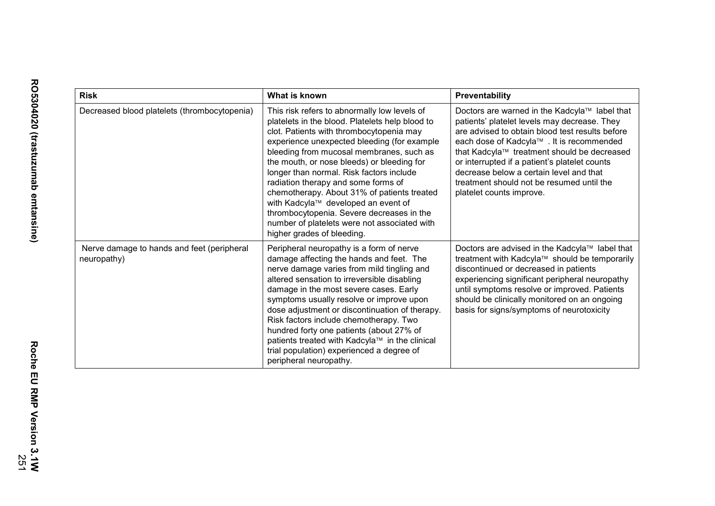| <b>Risk</b>                                               | What is known                                                                                                                                                                                                                                                                                                                                                                                                                                                                                                                                                                            | Preventability                                                                                                                                                                                                                                                                                                                                                                                                   |
|-----------------------------------------------------------|------------------------------------------------------------------------------------------------------------------------------------------------------------------------------------------------------------------------------------------------------------------------------------------------------------------------------------------------------------------------------------------------------------------------------------------------------------------------------------------------------------------------------------------------------------------------------------------|------------------------------------------------------------------------------------------------------------------------------------------------------------------------------------------------------------------------------------------------------------------------------------------------------------------------------------------------------------------------------------------------------------------|
| Decreased blood platelets (thrombocytopenia)              | This risk refers to abnormally low levels of<br>platelets in the blood. Platelets help blood to<br>clot. Patients with thrombocytopenia may<br>experience unexpected bleeding (for example<br>bleeding from mucosal membranes, such as<br>the mouth, or nose bleeds) or bleeding for<br>longer than normal. Risk factors include<br>radiation therapy and some forms of<br>chemotherapy. About 31% of patients treated<br>with Kadcyla™ developed an event of<br>thrombocytopenia. Severe decreases in the<br>number of platelets were not associated with<br>higher grades of bleeding. | Doctors are warned in the Kadcyla™ label that<br>patients' platelet levels may decrease. They<br>are advised to obtain blood test results before<br>each dose of Kadcyla™. It is recommended<br>that Kadcyla™ treatment should be decreased<br>or interrupted if a patient's platelet counts<br>decrease below a certain level and that<br>treatment should not be resumed until the<br>platelet counts improve. |
| Nerve damage to hands and feet (peripheral<br>neuropathy) | Peripheral neuropathy is a form of nerve<br>damage affecting the hands and feet. The<br>nerve damage varies from mild tingling and<br>altered sensation to irreversible disabling<br>damage in the most severe cases. Early<br>symptoms usually resolve or improve upon<br>dose adjustment or discontinuation of therapy.<br>Risk factors include chemotherapy. Two<br>hundred forty one patients (about 27% of<br>patients treated with Kadcyla™ in the clinical<br>trial population) experienced a degree of<br>peripheral neuropathy.                                                 | Doctors are advised in the Kadcyla™ label that<br>treatment with Kadcyla™ should be temporarily<br>discontinued or decreased in patients<br>experiencing significant peripheral neuropathy<br>until symptoms resolve or improved. Patients<br>should be clinically monitored on an ongoing<br>basis for signs/symptoms of neurotoxicity                                                                          |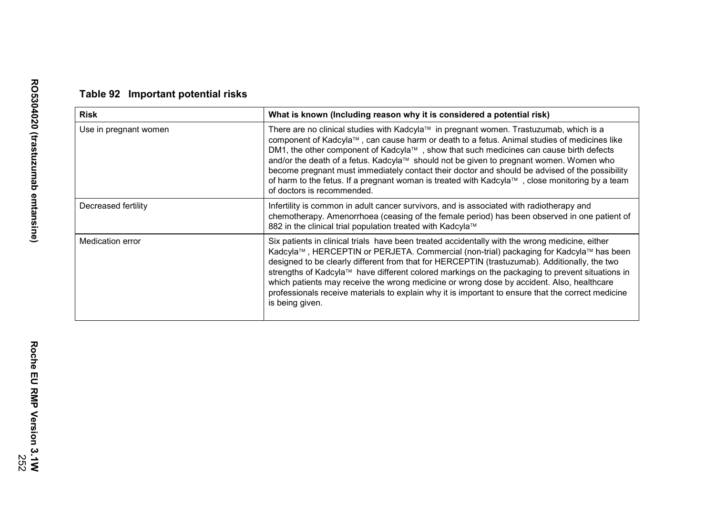|  |  | Table 92 Important potential risks |  |
|--|--|------------------------------------|--|
|--|--|------------------------------------|--|

| <b>Risk</b>           | What is known (Including reason why it is considered a potential risk)                                                                                                                                                                                                                                                                                                                                                                                                                                                                                                                                             |
|-----------------------|--------------------------------------------------------------------------------------------------------------------------------------------------------------------------------------------------------------------------------------------------------------------------------------------------------------------------------------------------------------------------------------------------------------------------------------------------------------------------------------------------------------------------------------------------------------------------------------------------------------------|
| Use in pregnant women | There are no clinical studies with Kadcyla™ in pregnant women. Trastuzumab, which is a<br>component of Kadcyla™, can cause harm or death to a fetus. Animal studies of medicines like<br>DM1, the other component of Kadcyla™, show that such medicines can cause birth defects<br>and/or the death of a fetus. Kadcyla™ should not be given to pregnant women. Women who<br>become pregnant must immediately contact their doctor and should be advised of the possibility<br>of harm to the fetus. If a pregnant woman is treated with Kadcyla™, close monitoring by a team<br>of doctors is recommended.        |
| Decreased fertility   | Infertility is common in adult cancer survivors, and is associated with radiotherapy and<br>chemotherapy. Amenorrhoea (ceasing of the female period) has been observed in one patient of<br>882 in the clinical trial population treated with Kadcyla™                                                                                                                                                                                                                                                                                                                                                             |
| Medication error      | Six patients in clinical trials have been treated accidentally with the wrong medicine, either<br>Kadcyla™, HERCEPTIN or PERJETA. Commercial (non-trial) packaging for Kadcyla™ has been<br>designed to be clearly different from that for HERCEPTIN (trastuzumab). Additionally, the two<br>strengths of Kadcyla™ have different colored markings on the packaging to prevent situations in<br>which patients may receive the wrong medicine or wrong dose by accident. Also, healthcare<br>professionals receive materials to explain why it is important to ensure that the correct medicine<br>is being given. |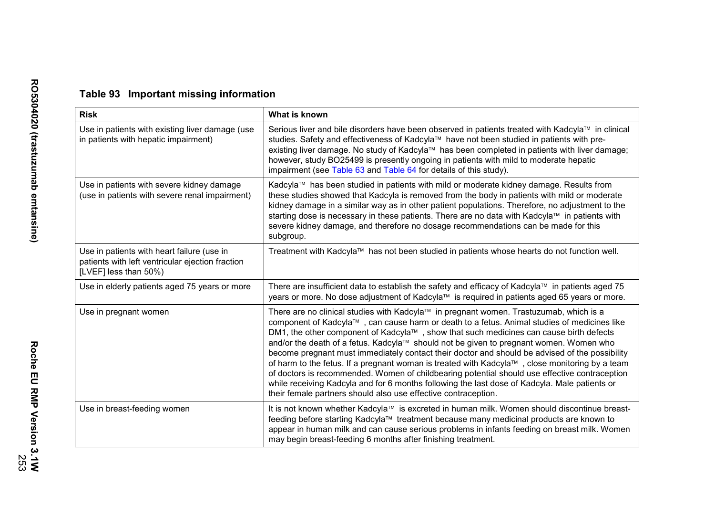# **Table 93 Important missing information**

| <b>Risk</b>                                                                                                             | What is known                                                                                                                                                                                                                                                                                                                                                                                                                                                                                                                                                                                                                                                                                                                                                                                                                                     |
|-------------------------------------------------------------------------------------------------------------------------|---------------------------------------------------------------------------------------------------------------------------------------------------------------------------------------------------------------------------------------------------------------------------------------------------------------------------------------------------------------------------------------------------------------------------------------------------------------------------------------------------------------------------------------------------------------------------------------------------------------------------------------------------------------------------------------------------------------------------------------------------------------------------------------------------------------------------------------------------|
| Use in patients with existing liver damage (use<br>in patients with hepatic impairment)                                 | Serious liver and bile disorders have been observed in patients treated with Kadcyla™ in clinical<br>studies. Safety and effectiveness of Kadcyla™ have not been studied in patients with pre-<br>existing liver damage. No study of Kadcyla™ has been completed in patients with liver damage;<br>however, study BO25499 is presently ongoing in patients with mild to moderate hepatic<br>impairment (see Table 63 and Table 64 for details of this study).                                                                                                                                                                                                                                                                                                                                                                                     |
| Use in patients with severe kidney damage<br>(use in patients with severe renal impairment)                             | Kadcyla™ has been studied in patients with mild or moderate kidney damage. Results from<br>these studies showed that Kadcyla is removed from the body in patients with mild or moderate<br>kidney damage in a similar way as in other patient populations. Therefore, no adjustment to the<br>starting dose is necessary in these patients. There are no data with Kadcyla™ in patients with<br>severe kidney damage, and therefore no dosage recommendations can be made for this<br>subgroup.                                                                                                                                                                                                                                                                                                                                                   |
| Use in patients with heart failure (use in<br>patients with left ventricular ejection fraction<br>[LVEF] less than 50%) | Treatment with Kadcyla™ has not been studied in patients whose hearts do not function well.                                                                                                                                                                                                                                                                                                                                                                                                                                                                                                                                                                                                                                                                                                                                                       |
| Use in elderly patients aged 75 years or more                                                                           | There are insufficient data to establish the safety and efficacy of Kadcyla™ in patients aged 75<br>years or more. No dose adjustment of Kadcyla™ is required in patients aged 65 years or more.                                                                                                                                                                                                                                                                                                                                                                                                                                                                                                                                                                                                                                                  |
| Use in pregnant women                                                                                                   | There are no clinical studies with Kadcyla™ in pregnant women. Trastuzumab, which is a<br>component of Kadcyla™, can cause harm or death to a fetus. Animal studies of medicines like<br>DM1, the other component of Kadcyla™, show that such medicines can cause birth defects<br>and/or the death of a fetus. Kadcyla™ should not be given to pregnant women. Women who<br>become pregnant must immediately contact their doctor and should be advised of the possibility<br>of harm to the fetus. If a pregnant woman is treated with Kadcyla™, close monitoring by a team<br>of doctors is recommended. Women of childbearing potential should use effective contraception<br>while receiving Kadcyla and for 6 months following the last dose of Kadcyla. Male patients or<br>their female partners should also use effective contraception. |
| Use in breast-feeding women                                                                                             | It is not known whether Kadcyla™ is excreted in human milk. Women should discontinue breast-<br>feeding before starting Kadcyla™ treatment because many medicinal products are known to<br>appear in human milk and can cause serious problems in infants feeding on breast milk. Women<br>may begin breast-feeding 6 months after finishing treatment.                                                                                                                                                                                                                                                                                                                                                                                                                                                                                           |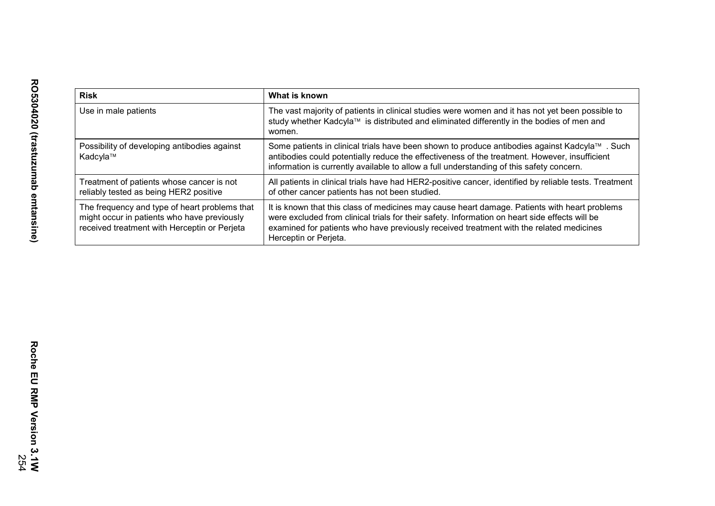| <b>Risk</b>                                                                                                                                  | What is known                                                                                                                                                                                                                                                                                                       |
|----------------------------------------------------------------------------------------------------------------------------------------------|---------------------------------------------------------------------------------------------------------------------------------------------------------------------------------------------------------------------------------------------------------------------------------------------------------------------|
| Use in male patients                                                                                                                         | The vast majority of patients in clinical studies were women and it has not yet been possible to<br>study whether Kadcyla™ is distributed and eliminated differently in the bodies of men and<br>women.                                                                                                             |
| Possibility of developing antibodies against<br>Kadcyla™                                                                                     | Some patients in clinical trials have been shown to produce antibodies against Kadcyla™. Such<br>antibodies could potentially reduce the effectiveness of the treatment. However, insufficient<br>information is currently available to allow a full understanding of this safety concern.                          |
| Treatment of patients whose cancer is not<br>reliably tested as being HER2 positive                                                          | All patients in clinical trials have had HER2-positive cancer, identified by reliable tests. Treatment<br>of other cancer patients has not been studied.                                                                                                                                                            |
| The frequency and type of heart problems that<br>might occur in patients who have previously<br>received treatment with Herceptin or Perjeta | It is known that this class of medicines may cause heart damage. Patients with heart problems<br>were excluded from clinical trials for their safety. Information on heart side effects will be<br>examined for patients who have previously received treatment with the related medicines<br>Herceptin or Perjeta. |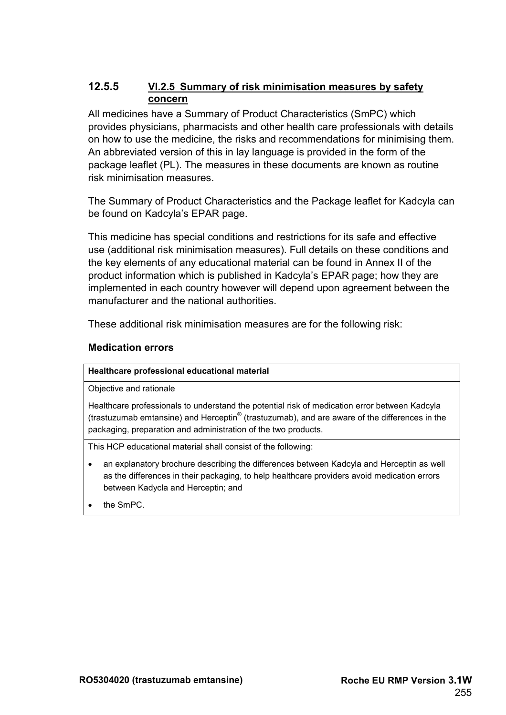#### **12.5.5 VI.2.5 Summary of risk minimisation measures by safety concern**

All medicines have a Summary of Product Characteristics (SmPC) which provides physicians, pharmacists and other health care professionals with details on how to use the medicine, the risks and recommendations for minimising them. An abbreviated version of this in lay language is provided in the form of the package leaflet (PL). The measures in these documents are known as routine risk minimisation measures.

The Summary of Product Characteristics and the Package leaflet for Kadcyla can be found on Kadcyla's EPAR page.

This medicine has special conditions and restrictions for its safe and effective use (additional risk minimisation measures). Full details on these conditions and the key elements of any educational material can be found in Annex II of the product information which is published in Kadcyla's EPAR page; how they are implemented in each country however will depend upon agreement between the manufacturer and the national authorities.

These additional risk minimisation measures are for the following risk:

#### **Medication errors**

#### **Healthcare professional educational material**

Objective and rationale

Healthcare professionals to understand the potential risk of medication error between Kadcyla (trastuzumab emtansine) and Herceptin® (trastuzumab), and are aware of the differences in the packaging, preparation and administration of the two products.

This HCP educational material shall consist of the following:

- an explanatory brochure describing the differences between Kadcyla and Herceptin as well as the differences in their packaging, to help healthcare providers avoid medication errors between Kadycla and Herceptin; and
- the SmPC.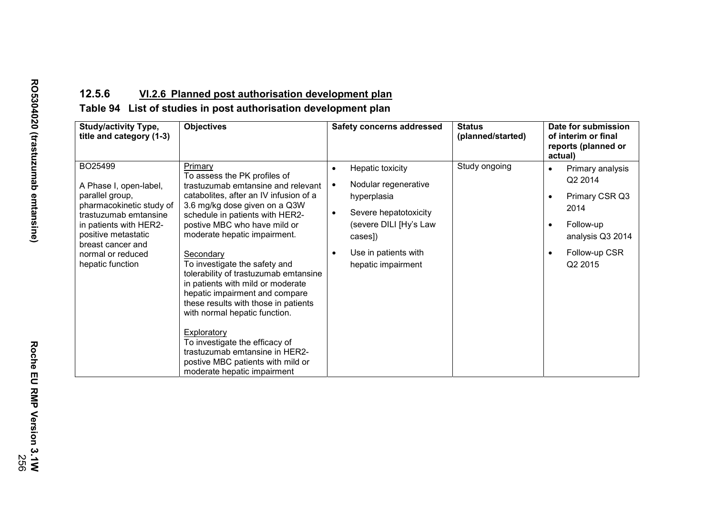## **12.5.6 VI.2.6 Planned post authorisation development plan**

### **Table 94 List of studies in post authorisation development plan**

| <b>Study/activity Type,</b><br>title and category (1-3)                                                                                                                                                                  | <b>Objectives</b>                                                                                                                                                                                                                                                                                                                                                                                                                                                                                                                                                                                                                                         | <b>Safety concerns addressed</b>                                                                                                                                                                                        | <b>Status</b><br>(planned/started) | Date for submission<br>of interim or final<br>reports (planned or<br>actual)                                                                                          |
|--------------------------------------------------------------------------------------------------------------------------------------------------------------------------------------------------------------------------|-----------------------------------------------------------------------------------------------------------------------------------------------------------------------------------------------------------------------------------------------------------------------------------------------------------------------------------------------------------------------------------------------------------------------------------------------------------------------------------------------------------------------------------------------------------------------------------------------------------------------------------------------------------|-------------------------------------------------------------------------------------------------------------------------------------------------------------------------------------------------------------------------|------------------------------------|-----------------------------------------------------------------------------------------------------------------------------------------------------------------------|
| BO25499<br>A Phase I, open-label,<br>parallel group,<br>pharmacokinetic study of<br>trastuzumab emtansine<br>in patients with HER2-<br>positive metastatic<br>breast cancer and<br>normal or reduced<br>hepatic function | Primary<br>To assess the PK profiles of<br>trastuzumab emtansine and relevant<br>catabolites, after an IV infusion of a<br>3.6 mg/kg dose given on a Q3W<br>schedule in patients with HER2-<br>postive MBC who have mild or<br>moderate hepatic impairment.<br>Secondary<br>To investigate the safety and<br>tolerability of trastuzumab emtansine<br>in patients with mild or moderate<br>hepatic impairment and compare<br>these results with those in patients<br>with normal hepatic function.<br>Exploratory<br>To investigate the efficacy of<br>trastuzumab emtansine in HER2-<br>postive MBC patients with mild or<br>moderate hepatic impairment | Hepatic toxicity<br>$\bullet$<br>Nodular regenerative<br>$\bullet$<br>hyperplasia<br>Severe hepatotoxicity<br>$\bullet$<br>(severe DILI [Hy's Law<br>cases])<br>Use in patients with<br>$\bullet$<br>hepatic impairment | Study ongoing                      | Primary analysis<br>$\bullet$<br>Q2 2014<br>Primary CSR Q3<br>$\bullet$<br>2014<br>Follow-up<br>$\bullet$<br>analysis Q3 2014<br>Follow-up CSR<br>Q <sub>2</sub> 2015 |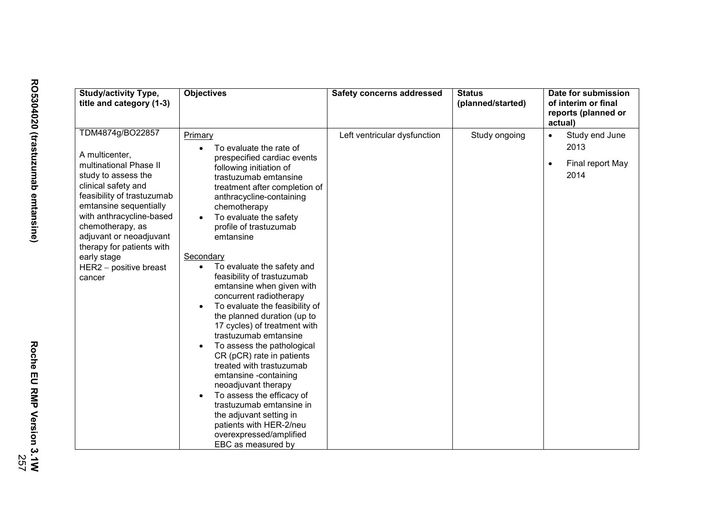| <b>Study/activity Type,</b><br>title and category (1-3)                                                                                                                                                                                                                                                                         | <b>Objectives</b>                                                                                                                                                                                                                                                                                                                                                                                                                                                                                                                                                                                                                                                                                                                                                                                                                                                                         | <b>Safety concerns addressed</b> | <b>Status</b><br>(planned/started) | Date for submission<br>of interim or final<br>reports (planned or<br>actual) |
|---------------------------------------------------------------------------------------------------------------------------------------------------------------------------------------------------------------------------------------------------------------------------------------------------------------------------------|-------------------------------------------------------------------------------------------------------------------------------------------------------------------------------------------------------------------------------------------------------------------------------------------------------------------------------------------------------------------------------------------------------------------------------------------------------------------------------------------------------------------------------------------------------------------------------------------------------------------------------------------------------------------------------------------------------------------------------------------------------------------------------------------------------------------------------------------------------------------------------------------|----------------------------------|------------------------------------|------------------------------------------------------------------------------|
| TDM4874g/BO22857<br>A multicenter,<br>multinational Phase II<br>study to assess the<br>clinical safety and<br>feasibility of trastuzumab<br>emtansine sequentially<br>with anthracycline-based<br>chemotherapy, as<br>adjuvant or neoadjuvant<br>therapy for patients with<br>early stage<br>$HER2 - positive breast$<br>cancer | Primary<br>To evaluate the rate of<br>prespecified cardiac events<br>following initiation of<br>trastuzumab emtansine<br>treatment after completion of<br>anthracycline-containing<br>chemotherapy<br>To evaluate the safety<br>profile of trastuzumab<br>emtansine<br>Secondary<br>To evaluate the safety and<br>$\bullet$<br>feasibility of trastuzumab<br>emtansine when given with<br>concurrent radiotherapy<br>To evaluate the feasibility of<br>$\bullet$<br>the planned duration (up to<br>17 cycles) of treatment with<br>trastuzumab emtansine<br>To assess the pathological<br>$\bullet$<br>CR (pCR) rate in patients<br>treated with trastuzumab<br>emtansine -containing<br>neoadjuvant therapy<br>To assess the efficacy of<br>$\bullet$<br>trastuzumab emtansine in<br>the adjuvant setting in<br>patients with HER-2/neu<br>overexpressed/amplified<br>EBC as measured by | Left ventricular dysfunction     | Study ongoing                      | Study end June<br>$\bullet$<br>2013<br>Final report May<br>2014              |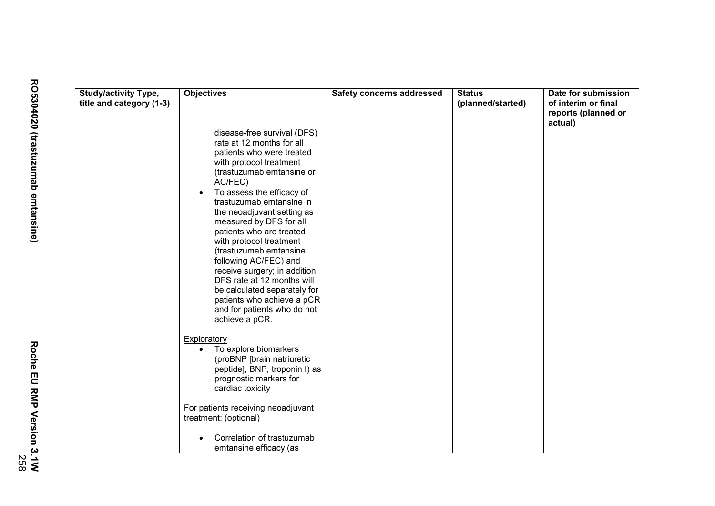| <b>Study/activity Type,</b> | <b>Objectives</b>                                           | <b>Safety concerns addressed</b> | <b>Status</b>     | Date for submission |
|-----------------------------|-------------------------------------------------------------|----------------------------------|-------------------|---------------------|
| title and category (1-3)    |                                                             |                                  | (planned/started) | of interim or final |
|                             |                                                             |                                  |                   | reports (planned or |
|                             |                                                             |                                  |                   | actual)             |
|                             | disease-free survival (DFS)<br>rate at 12 months for all    |                                  |                   |                     |
|                             | patients who were treated                                   |                                  |                   |                     |
|                             | with protocol treatment                                     |                                  |                   |                     |
|                             | (trastuzumab emtansine or                                   |                                  |                   |                     |
|                             | AC/FEC)                                                     |                                  |                   |                     |
|                             | To assess the efficacy of<br>$\bullet$                      |                                  |                   |                     |
|                             | trastuzumab emtansine in                                    |                                  |                   |                     |
|                             | the neoadjuvant setting as                                  |                                  |                   |                     |
|                             | measured by DFS for all                                     |                                  |                   |                     |
|                             | patients who are treated                                    |                                  |                   |                     |
|                             | with protocol treatment                                     |                                  |                   |                     |
|                             | (trastuzumab emtansine                                      |                                  |                   |                     |
|                             | following AC/FEC) and                                       |                                  |                   |                     |
|                             | receive surgery; in addition,                               |                                  |                   |                     |
|                             | DFS rate at 12 months will<br>be calculated separately for  |                                  |                   |                     |
|                             | patients who achieve a pCR                                  |                                  |                   |                     |
|                             | and for patients who do not                                 |                                  |                   |                     |
|                             | achieve a pCR.                                              |                                  |                   |                     |
|                             |                                                             |                                  |                   |                     |
|                             | <b>Exploratory</b>                                          |                                  |                   |                     |
|                             | To explore biomarkers<br>$\bullet$                          |                                  |                   |                     |
|                             | (proBNP [brain natriuretic                                  |                                  |                   |                     |
|                             | peptide], BNP, troponin I) as                               |                                  |                   |                     |
|                             | prognostic markers for                                      |                                  |                   |                     |
|                             | cardiac toxicity                                            |                                  |                   |                     |
|                             |                                                             |                                  |                   |                     |
|                             | For patients receiving neoadjuvant<br>treatment: (optional) |                                  |                   |                     |
|                             |                                                             |                                  |                   |                     |
|                             | Correlation of trastuzumab                                  |                                  |                   |                     |
|                             | emtansine efficacy (as                                      |                                  |                   |                     |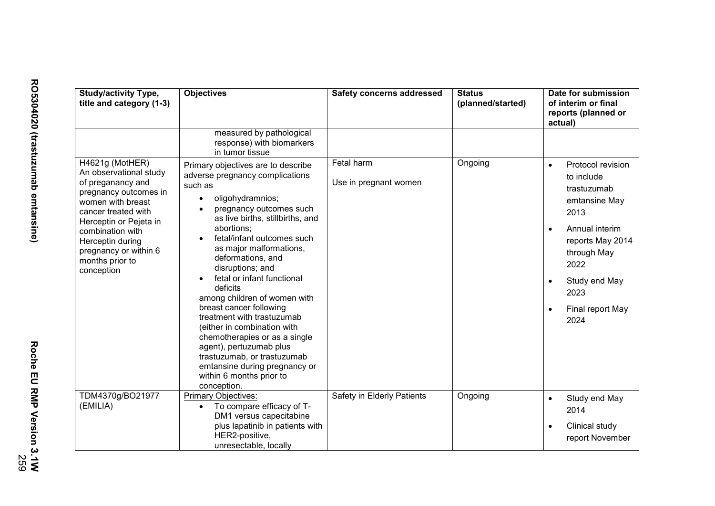| <b>Study/activity Type,</b><br>title and category (1-3)                                                                                                                                                                                                         | <b>Objectives</b>                                                                                                                                                                                                                                                                                                                                                                                                                                                                                                                                                                                                                         | <b>Safety concerns addressed</b>    | <b>Status</b><br>(planned/started) | Date for submission<br>of interim or final<br>reports (planned or<br>actual)                                                                                                                                                     |
|-----------------------------------------------------------------------------------------------------------------------------------------------------------------------------------------------------------------------------------------------------------------|-------------------------------------------------------------------------------------------------------------------------------------------------------------------------------------------------------------------------------------------------------------------------------------------------------------------------------------------------------------------------------------------------------------------------------------------------------------------------------------------------------------------------------------------------------------------------------------------------------------------------------------------|-------------------------------------|------------------------------------|----------------------------------------------------------------------------------------------------------------------------------------------------------------------------------------------------------------------------------|
|                                                                                                                                                                                                                                                                 | measured by pathological<br>response) with biomarkers<br>in tumor tissue                                                                                                                                                                                                                                                                                                                                                                                                                                                                                                                                                                  |                                     |                                    |                                                                                                                                                                                                                                  |
| H4621g (MotHER)<br>An observational study<br>of preganancy and<br>pregnancy outcomes in<br>women with breast<br>cancer treated with<br>Herceptin or Pejeta in<br>combination with<br>Herceptin during<br>pregnancy or within 6<br>months prior to<br>conception | Primary objectives are to describe<br>adverse pregnancy complications<br>such as<br>oligohydramnios;<br>$\bullet$<br>pregnancy outcomes such<br>as live births, stillbirths, and<br>abortions:<br>fetal/infant outcomes such<br>as major malformations,<br>deformations, and<br>disruptions; and<br>fetal or infant functional<br>deficits<br>among children of women with<br>breast cancer following<br>treatment with trastuzumab<br>(either in combination with<br>chemotherapies or as a single<br>agent), pertuzumab plus<br>trastuzumab, or trastuzumab<br>emtansine during pregnancy or<br>within 6 months prior to<br>conception. | Fetal harm<br>Use in pregnant women | Ongoing                            | Protocol revision<br>$\bullet$<br>to include<br>trastuzumab<br>emtansine May<br>2013<br>Annual interim<br>$\bullet$<br>reports May 2014<br>through May<br>2022<br>Study end May<br>2023<br>Final report May<br>$\bullet$<br>2024 |
| TDM4370g/BO21977<br>(EMILIA)                                                                                                                                                                                                                                    | Primary Objectives:<br>To compare efficacy of T-<br>$\bullet$<br>DM1 versus capecitabine<br>plus lapatinib in patients with<br>HER2-positive,<br>unresectable, locally                                                                                                                                                                                                                                                                                                                                                                                                                                                                    | Safety in Elderly Patients          | Ongoing                            | Study end May<br>$\bullet$<br>2014<br>Clinical study<br>$\bullet$<br>report November                                                                                                                                             |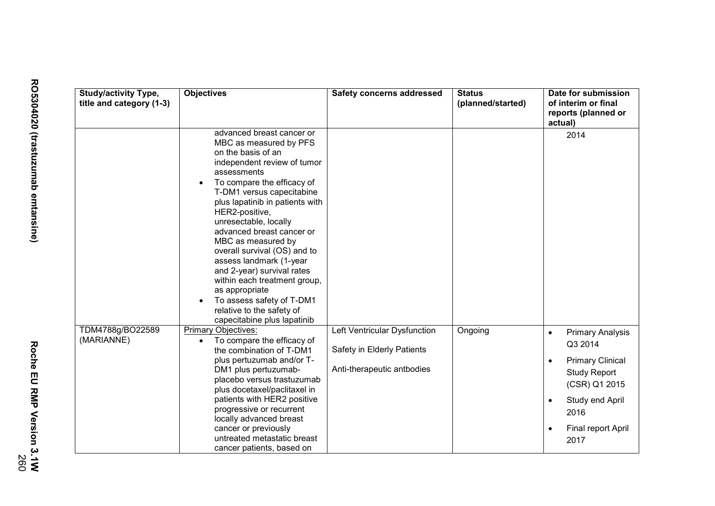| <b>Study/activity Type,</b><br>title and category (1-3) | <b>Objectives</b>                                                                                                                                                                                                                                                                                                                                                                                                                                                                                                                                       | <b>Safety concerns addressed</b>                                                         | <b>Status</b><br>(planned/started) | Date for submission<br>of interim or final<br>reports (planned or<br>actual)                                                                                                |
|---------------------------------------------------------|---------------------------------------------------------------------------------------------------------------------------------------------------------------------------------------------------------------------------------------------------------------------------------------------------------------------------------------------------------------------------------------------------------------------------------------------------------------------------------------------------------------------------------------------------------|------------------------------------------------------------------------------------------|------------------------------------|-----------------------------------------------------------------------------------------------------------------------------------------------------------------------------|
|                                                         | advanced breast cancer or<br>MBC as measured by PFS<br>on the basis of an<br>independent review of tumor<br>assessments<br>To compare the efficacy of<br>T-DM1 versus capecitabine<br>plus lapatinib in patients with<br>HER2-positive,<br>unresectable, locally<br>advanced breast cancer or<br>MBC as measured by<br>overall survival (OS) and to<br>assess landmark (1-year<br>and 2-year) survival rates<br>within each treatment group,<br>as appropriate<br>To assess safety of T-DM1<br>relative to the safety of<br>capecitabine plus lapatinib |                                                                                          |                                    | 2014                                                                                                                                                                        |
| TDM4788g/BO22589<br>(MARIANNE)                          | <b>Primary Objectives:</b><br>To compare the efficacy of<br>$\bullet$<br>the combination of T-DM1<br>plus pertuzumab and/or T-<br>DM1 plus pertuzumab-<br>placebo versus trastuzumab<br>plus docetaxel/paclitaxel in<br>patients with HER2 positive<br>progressive or recurrent<br>locally advanced breast<br>cancer or previously<br>untreated metastatic breast<br>cancer patients, based on                                                                                                                                                          | Left Ventricular Dysfunction<br>Safety in Elderly Patients<br>Anti-therapeutic antbodies | Ongoing                            | <b>Primary Analysis</b><br>$\bullet$<br>Q3 2014<br><b>Primary Clinical</b><br><b>Study Report</b><br>(CSR) Q1 2015<br>Study end April<br>2016<br>Final report April<br>2017 |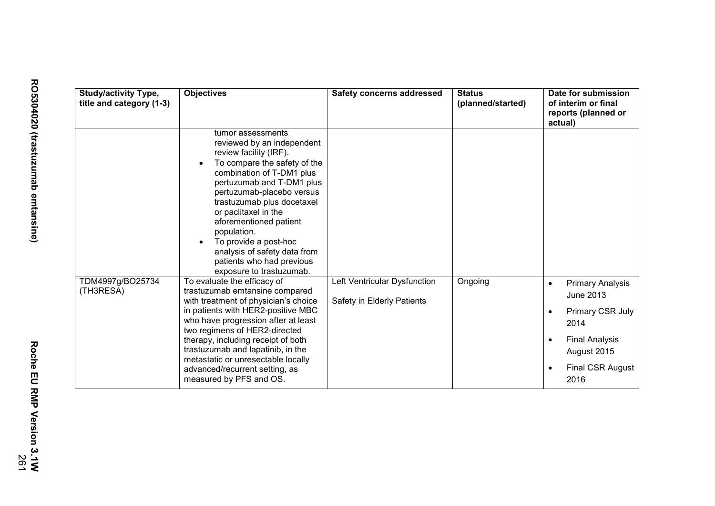| <b>Study/activity Type,</b><br>title and category (1-3) | <b>Objectives</b>                                                                                                                                                                                                                                                                                                                                                                                                 | <b>Safety concerns addressed</b>                           | <b>Status</b><br>(planned/started) | Date for submission<br>of interim or final<br>reports (planned or<br>actual)                                                                             |
|---------------------------------------------------------|-------------------------------------------------------------------------------------------------------------------------------------------------------------------------------------------------------------------------------------------------------------------------------------------------------------------------------------------------------------------------------------------------------------------|------------------------------------------------------------|------------------------------------|----------------------------------------------------------------------------------------------------------------------------------------------------------|
|                                                         | tumor assessments<br>reviewed by an independent<br>review facility (IRF).<br>To compare the safety of the<br>combination of T-DM1 plus<br>pertuzumab and T-DM1 plus<br>pertuzumab-placebo versus<br>trastuzumab plus docetaxel<br>or paclitaxel in the<br>aforementioned patient<br>population.<br>To provide a post-hoc<br>analysis of safety data from<br>patients who had previous<br>exposure to trastuzumab. |                                                            |                                    |                                                                                                                                                          |
| TDM4997g/BO25734<br>(TH3RESA)                           | To evaluate the efficacy of<br>trastuzumab emtansine compared<br>with treatment of physician's choice<br>in patients with HER2-positive MBC<br>who have progression after at least<br>two regimens of HER2-directed<br>therapy, including receipt of both<br>trastuzumab and lapatinib, in the<br>metastatic or unresectable locally<br>advanced/recurrent setting, as<br>measured by PFS and OS.                 | Left Ventricular Dysfunction<br>Safety in Elderly Patients | Ongoing                            | <b>Primary Analysis</b><br>$\bullet$<br><b>June 2013</b><br>Primary CSR July<br>2014<br><b>Final Analysis</b><br>August 2015<br>Final CSR August<br>2016 |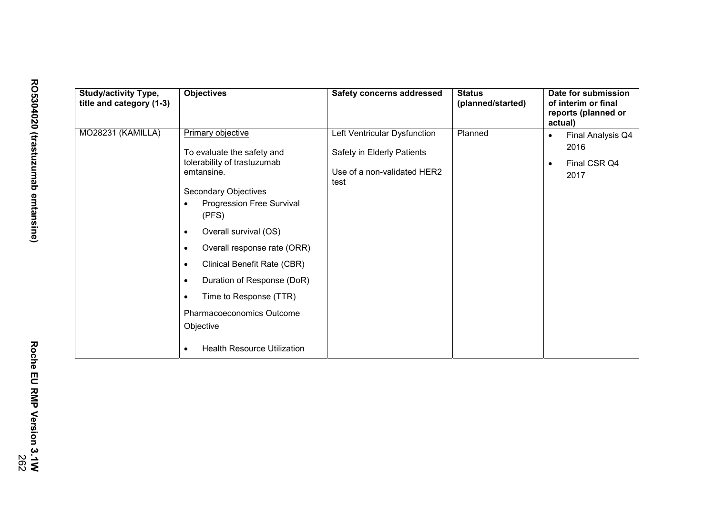| <b>Study/activity Type,</b><br>title and category (1-3) | <b>Objectives</b>                                                                                                                                                                                                                                                                                                                                                                                                                                                                           | <b>Safety concerns addressed</b>                                                                  | <b>Status</b><br>(planned/started) | Date for submission<br>of interim or final<br>reports (planned or<br>actual) |
|---------------------------------------------------------|---------------------------------------------------------------------------------------------------------------------------------------------------------------------------------------------------------------------------------------------------------------------------------------------------------------------------------------------------------------------------------------------------------------------------------------------------------------------------------------------|---------------------------------------------------------------------------------------------------|------------------------------------|------------------------------------------------------------------------------|
| MO28231 (KAMILLA)                                       | Primary objective<br>To evaluate the safety and<br>tolerability of trastuzumab<br>emtansine.<br><b>Secondary Objectives</b><br>Progression Free Survival<br>$\bullet$<br>(PFS)<br>Overall survival (OS)<br>$\bullet$<br>Overall response rate (ORR)<br>$\bullet$<br>Clinical Benefit Rate (CBR)<br>$\bullet$<br>Duration of Response (DoR)<br>$\bullet$<br>Time to Response (TTR)<br>$\bullet$<br>Pharmacoeconomics Outcome<br>Objective<br><b>Health Resource Utilization</b><br>$\bullet$ | Left Ventricular Dysfunction<br>Safety in Elderly Patients<br>Use of a non-validated HER2<br>test | Planned                            | Final Analysis Q4<br>2016<br>Final CSR Q4<br>$\bullet$<br>2017               |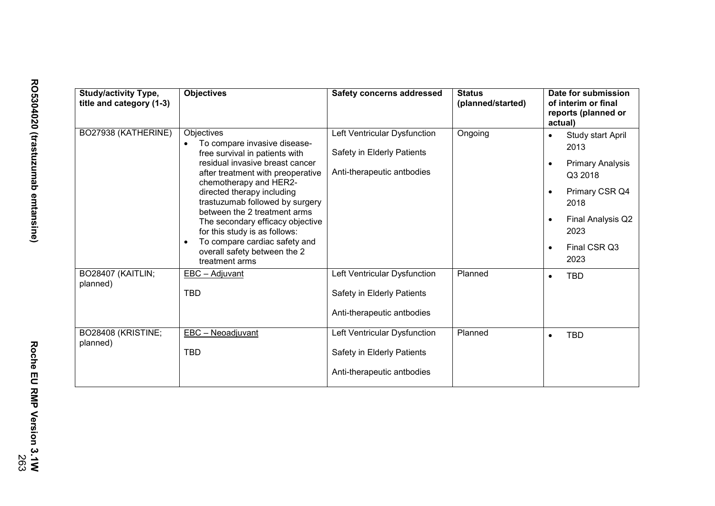| <b>Study/activity Type,</b><br>title and category (1-3) | <b>Objectives</b>                                                                                                                                                                                                                                                                                                                                                                                                                       | <b>Safety concerns addressed</b>                                                         | <b>Status</b><br>(planned/started) | Date for submission<br>of interim or final<br>reports (planned or<br>actual)                                                                                                                       |
|---------------------------------------------------------|-----------------------------------------------------------------------------------------------------------------------------------------------------------------------------------------------------------------------------------------------------------------------------------------------------------------------------------------------------------------------------------------------------------------------------------------|------------------------------------------------------------------------------------------|------------------------------------|----------------------------------------------------------------------------------------------------------------------------------------------------------------------------------------------------|
| BO27938 (KATHERINE)                                     | Objectives<br>To compare invasive disease-<br>free survival in patients with<br>residual invasive breast cancer<br>after treatment with preoperative<br>chemotherapy and HER2-<br>directed therapy including<br>trastuzumab followed by surgery<br>between the 2 treatment arms<br>The secondary efficacy objective<br>for this study is as follows:<br>To compare cardiac safety and<br>overall safety between the 2<br>treatment arms | Left Ventricular Dysfunction<br>Safety in Elderly Patients<br>Anti-therapeutic antbodies | Ongoing                            | Study start April<br>$\bullet$<br>2013<br><b>Primary Analysis</b><br>Q3 2018<br>Primary CSR Q4<br>$\bullet$<br>2018<br>Final Analysis Q2<br>$\bullet$<br>2023<br>Final CSR Q3<br>$\bullet$<br>2023 |
| BO28407 (KAITLIN;<br>planned)                           | EBC - Adjuvant<br><b>TBD</b>                                                                                                                                                                                                                                                                                                                                                                                                            | Left Ventricular Dysfunction<br>Safety in Elderly Patients<br>Anti-therapeutic antbodies | Planned                            | <b>TBD</b><br>$\bullet$                                                                                                                                                                            |
| BO28408 (KRISTINE;<br>planned)                          | EBC - Neoadjuvant<br>TBD                                                                                                                                                                                                                                                                                                                                                                                                                | Left Ventricular Dysfunction<br>Safety in Elderly Patients<br>Anti-therapeutic antbodies | Planned                            | <b>TBD</b><br>$\bullet$                                                                                                                                                                            |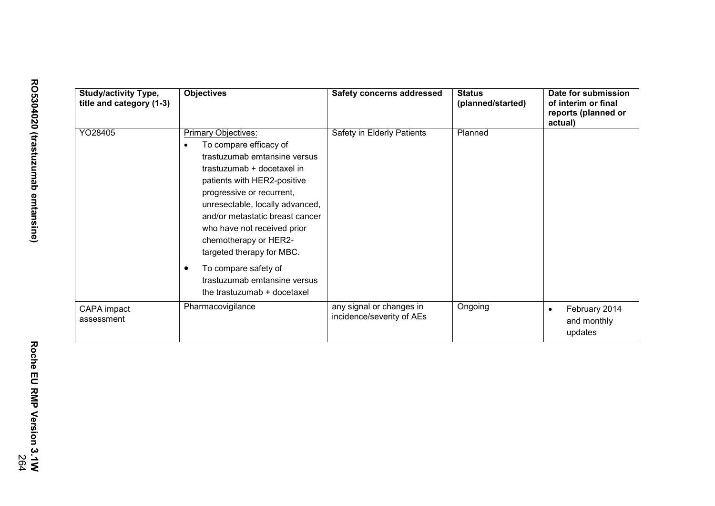| <b>Study/activity Type,</b><br>title and category (1-3) | <b>Objectives</b>                                                                                                                                                                                                                                                                                                                                                                                                                             | <b>Safety concerns addressed</b>                      | <b>Status</b><br>(planned/started) | Date for submission<br>of interim or final<br>reports (planned or<br>actual) |
|---------------------------------------------------------|-----------------------------------------------------------------------------------------------------------------------------------------------------------------------------------------------------------------------------------------------------------------------------------------------------------------------------------------------------------------------------------------------------------------------------------------------|-------------------------------------------------------|------------------------------------|------------------------------------------------------------------------------|
| YO28405                                                 | <b>Primary Objectives:</b><br>To compare efficacy of<br>$\bullet$<br>trastuzumab emtansine versus<br>trastuzumab + docetaxel in<br>patients with HER2-positive<br>progressive or recurrent,<br>unresectable, locally advanced,<br>and/or metastatic breast cancer<br>who have not received prior<br>chemotherapy or HER2-<br>targeted therapy for MBC.<br>To compare safety of<br>trastuzumab emtansine versus<br>the trastuzumab + docetaxel | Safety in Elderly Patients                            | Planned                            |                                                                              |
| CAPA impact<br>assessment                               | Pharmacovigilance                                                                                                                                                                                                                                                                                                                                                                                                                             | any signal or changes in<br>incidence/severity of AEs | Ongoing                            | February 2014<br>$\bullet$<br>and monthly<br>updates                         |